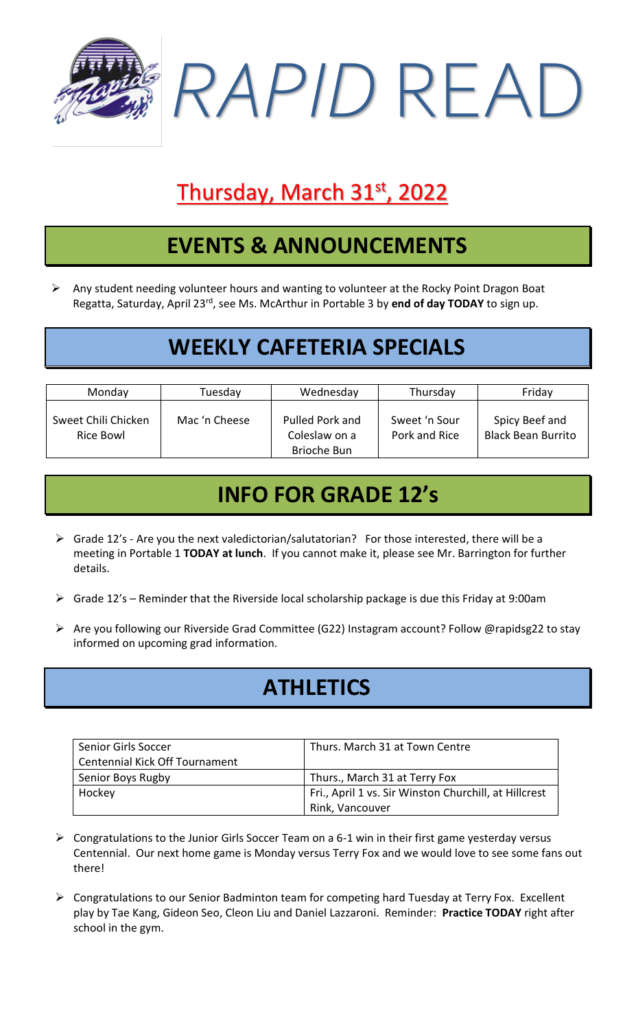

# Thursday, March 31st, 2022

## **EVENTS & ANNOUNCEMENTS**

➢ Any student needing volunteer hours and wanting to volunteer at the Rocky Point Dragon Boat Regatta, Saturday, April 23rd, see Ms. McArthur in Portable 3 by **end of day TODAY** to sign up.

## **WEEKLY CAFETERIA SPECIALS**

| Monday                           | Tuesday       | Wednesday                                       | Thursday                       | Friday                                      |
|----------------------------------|---------------|-------------------------------------------------|--------------------------------|---------------------------------------------|
| Sweet Chili Chicken<br>Rice Bowl | Mac 'n Cheese | Pulled Pork and<br>Coleslaw on a<br>Brioche Bun | Sweet 'n Sour<br>Pork and Rice | Spicy Beef and<br><b>Black Bean Burrito</b> |

## **INFO FOR GRADE 12's**

- ➢ Grade 12's Are you the next valedictorian/salutatorian? For those interested, there will be a meeting in Portable 1 **TODAY at lunch**. If you cannot make it, please see Mr. Barrington for further details.
- ➢ Grade 12's Reminder that the Riverside local scholarship package is due this Friday at 9:00am
- ➢ Are you following our Riverside Grad Committee (G22) Instagram account? Follow @rapidsg22 to stay informed on upcoming grad information.

## **ATHLETICS**

| <b>Senior Girls Soccer</b>     | Thurs. March 31 at Town Centre                        |  |
|--------------------------------|-------------------------------------------------------|--|
| Centennial Kick Off Tournament |                                                       |  |
| Senior Boys Rugby              | Thurs., March 31 at Terry Fox                         |  |
| Hockey                         | Fri., April 1 vs. Sir Winston Churchill, at Hillcrest |  |
|                                | Rink, Vancouver                                       |  |

- ➢ Congratulations to the Junior Girls Soccer Team on a 6-1 win in their first game yesterday versus Centennial. Our next home game is Monday versus Terry Fox and we would love to see some fans out there!
- ➢ Congratulations to our Senior Badminton team for competing hard Tuesday at Terry Fox. Excellent play by Tae Kang, Gideon Seo, Cleon Liu and Daniel Lazzaroni. Reminder: **Practice TODAY** right after school in the gym.